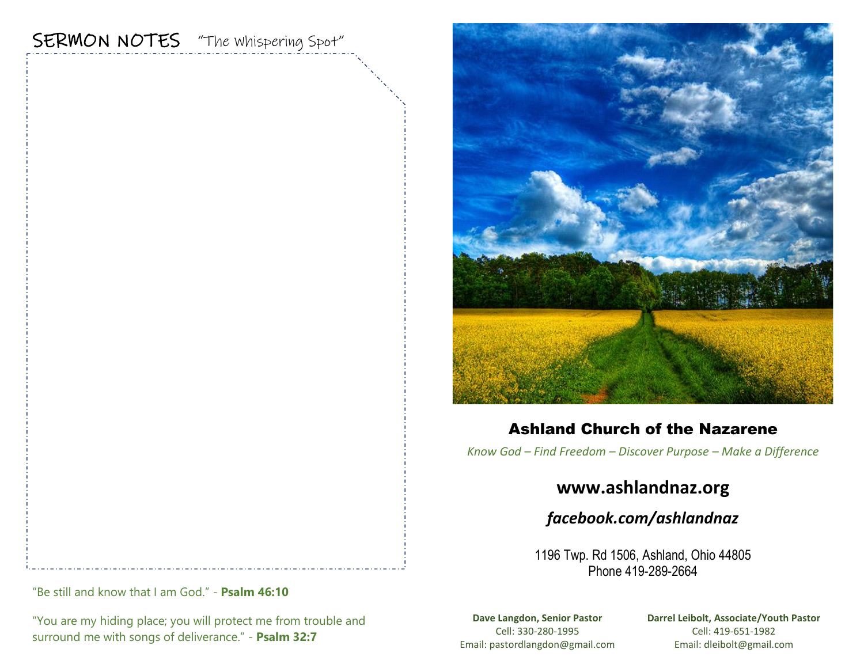# SERMON NOTES "The whispering Spot"



### Ashland Church of the Nazarene

*Know God – Find Freedom – Discover Purpose – Make a Difference*

## **www.ashlandnaz.org**

## *facebook.com/ashlandnaz*

1196 Twp. Rd 1506, Ashland, Ohio 44805 Phone 419-289-2664

"Be still and know that I am God." - **Psalm 46:10** 

"You are my hiding place; you will protect me from trouble and surround me with songs of deliverance." - **Psalm 32:7**

**Dave Langdon, Senior Pastor** Cell: 330-280-1995 Email: pastordlangdon@gmail.com **Darrel Leibolt, Associate/Youth Pastor** Cell: 419-651-1982 Email: dleibolt@gmail.com